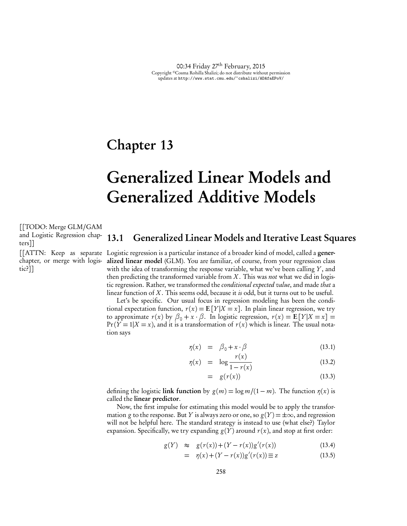## Chapter 13

# Generalized Linear Models and Generalized Additive Models

[[TODO: Merge GLM/GAM and Logistic Regression chapters]]

chapter, or merge with logis-

tic?]]

## 13.1 Generalized Linear Models and Iterative Least Squares

[[ATTN: Keep as separate Logistic regression is a particular instance of a broader kind of model, called a generalized linear model (GLM). You are familiar, of course, from your regression class with the idea of transforming the response variable, what we've been calling *Y*, and then predicting the transformed variable from *X* . This was *not* what we did in logistic regression. Rather, we transformed the *conditional expected value*, and made *that* a linear function of *X* . This seems odd, because it *is* odd, but it turns out to be useful.

> Let's be specific. Our usual focus in regression modeling has been the conditional expectation function,  $r(x) = E[Y|X=x]$ . In plain linear regression, we try to approximate  $r(x)$  by  $\beta_0 + x \cdot \beta$ . In logistic regression,  $r(x) = E[Y|X=x] =$  $Pr(Y = 1 | X = x)$ , and it is a transformation of  $r(x)$  which is linear. The usual notation says

$$
\eta(x) = \beta_0 + x \cdot \beta \tag{13.1}
$$

$$
\eta(x) = \log \frac{r(x)}{1 - r(x)} \tag{13.2}
$$

$$
= g(r(x)) \tag{13.3}
$$

defining the logistic link function by  $g(m) = \log m/(1 - m)$ . The function  $\eta(x)$  is called the linear predictor.

Now, the first impulse for estimating this model would be to apply the transformation *g* to the response. But *Y* is always zero or one, so  $g(Y) = \pm \infty$ , and regression will not be helpful here. The standard strategy is instead to use (what else?) Taylor expansion. Specifically, we try expanding  $g(Y)$  around  $r(x)$ , and stop at first order:

$$
g(Y) \approx g(r(x)) + (Y - r(x))g'(r(x)) \tag{13.4}
$$

$$
= \eta(x) + (Y - r(x))g'(r(x)) \equiv z \tag{13.5}
$$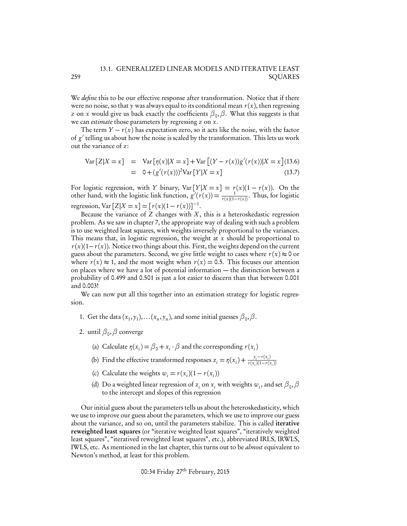#### 13.1. GENERALIZED LINEAR MODELS AND ITERATIVE LEAST SQUARES

We *define* this to be our effective response after transformation. Notice that if there were no noise, so that  $y$  was always equal to its conditional mean  $r(x)$ , then regressing *z* on *x* would give us back exactly the coefficients  $\beta_0$ ,  $\beta$ . What this suggests is that we can *estimate* those parameters by regressing *z* on *x*.

The term  $Y - r(x)$  has expectation zero, so it acts like the noise, with the factor of  $g'$  telling us about how the noise is scaled by the transformation. This lets us work out the variance of *z*:

$$
Var[Z|X = x] = Var[\eta(x)|X = x] + Var[(Y - r(x))g'(r(x))|X = x](13.6)
$$
  
= 0 + (g'(r(x)))<sup>2</sup>Var[Y|X = x] (13.7)

For logistic regression, with *Y* binary,  $Var[Y|X=x] = r(x)(1 - r(x))$ . On the other hand, with the logistic link function,  $g'(r(x)) = \frac{1}{r(x)(1-r(x))}$ . Thus, for logistic regression, Var  $[Z|X = x] = [r(x)(1 - r(x))]^{-1}$ .

Because the variance of  $Z$  changes with  $X$ , this is a heteroskedastic regression problem. As we saw in chapter 7, the appropriate way of dealing with such a problem is to use weighted least squares, with weights inversely proportional to the variances. This means that, in logistic regression, the weight at *x* should be proportional to  $r(x)(1-r(x))$ . Notice two things about this. First, the weights depend on the current guess about the parameters. Second, we give little weight to cases where  $r(x) \approx 0$  or where  $r(x) \approx 1$ , and the most weight when  $r(x) = 0.5$ . This focuses our attention on places where we have a lot of potential information — the distinction between a probability of 0.499 and 0.501 is just a lot easier to discern than that between 0.001 and 0.003!

We can now put all this together into an estimation strategy for logistic regression.

- 1. Get the data  $(x_1, y_1), \ldots (x_n, y_n)$ , and some initial guesses  $\beta_0, \beta$ .
- 2. until  $\beta_0$ ,  $\beta$  converge
	- (a) Calculate  $\eta(x_i) = \beta_0 + x_i \cdot \beta$  and the corresponding  $r(x_i)$
	- (b) Find the effective transformed responses  $z_i = \eta(x_i) + \frac{y_i r(x_i)}{r(x_i)(1 r(x_i))}$
	- (c) Calculate the weights  $w_i = r(x_i)(1 r(x_i))$
	- (d) Do a weighted linear regression of  $z_i$  on  $x_i$  with weights  $w_i$ , and set  $\beta_0$ ,  $\beta$ to the intercept and slopes of this regression

Our initial guess about the parameters tells us about the heteroskedasticity, which we use to improve our guess about the parameters, which we use to improve our guess about the variance, and so on, until the parameters stabilize. This is called iterative reweighted least squares (or "iterative weighted least squares", "iteratively weighted least squares", "iteratived reweighted least squares", etc.), abbreviated IRLS, IRWLS, IWLS, etc. As mentioned in the last chapter, this turns out to be *almost* equivalent to Newton's method, at least for this problem.

00:34 Friday 27th February, 2015

259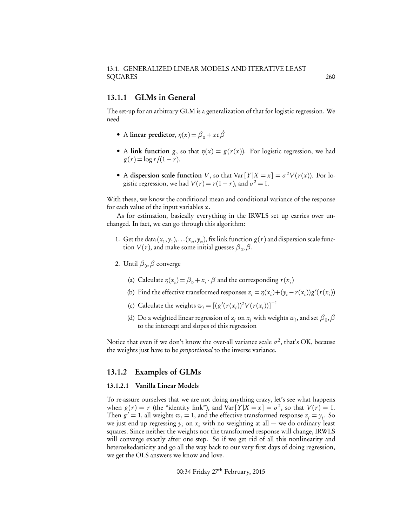#### 13.1.1 GLMs in General

The set-up for an arbitrary GLM is a generalization of that for logistic regression. We need

- A linear predictor,  $\eta(x) = \beta_0 + xc\dot{\beta}$
- A link function *g*, so that  $\eta(x) = g(r(x))$ . For logistic regression, we had  $g(r) = \log r/(1 - r)$ .
- A dispersion scale function *V*, so that  $Var[Y|X=x] = \sigma^2 V(r(x))$ . For logistic regression, we had  $V(r) = r(1 - r)$ , and  $\sigma^2 = 1$ .

With these, we know the conditional mean and conditional variance of the response for each value of the input variables *x*.

As for estimation, basically everything in the IRWLS set up carries over unchanged. In fact, we can go through this algorithm:

- 1. Get the data  $(x_1, y_1), \ldots (x_n, y_n)$ , fix link function  $g(r)$  and dispersion scale function  $V(r)$ , and make some initial guesses  $\beta_0$ ,  $\beta$ .
- 2. Until  $\beta_0$ ,  $\beta$  converge
	- (a) Calculate  $\eta(x_i) = \beta_0 + x_i \cdot \beta$  and the corresponding  $r(x_i)$
	- (b) Find the effective transformed responses  $z_i = \eta(x_i) + (y_i r(x_i))g'(r(x_i))$
	- (c) Calculate the weights  $w_i = [(g'(r(x_i))^2 V(r(x_i))]^{-1}$
	- (d) Do a weighted linear regression of  $z_i$  on  $x_i$  with weights  $w_i$ , and set  $\beta_0$ ,  $\beta$ to the intercept and slopes of this regression

Notice that even if we don't know the over-all variance scale  $\sigma^2$ , that's OK, because the weights just have to be *proportional* to the inverse variance.

#### 13.1.2 Examples of GLMs

#### 13.1.2.1 Vanilla Linear Models

To re-assure ourselves that we are not doing anything crazy, let's see what happens when  $g(r) = r$  (the "identity link"), and  $Var[Y|X = x] = \sigma^2$ , so that  $V(r) = 1$ . Then  $g' = 1$ , all weights  $w_i = 1$ , and the effective transformed response  $z_i = y_i$ . So we just end up regressing  $y_i$  on  $x_i$  with no weighting at all — we do ordinary least squares. Since neither the weights nor the transformed response will change, IRWLS will converge exactly after one step. So if we get rid of all this nonlinearity and heteroskedasticity and go all the way back to our very first days of doing regression, we get the OLS answers we know and love.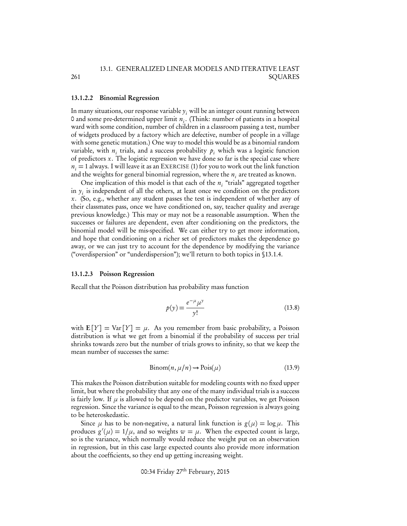#### 13.1.2.2 Binomial Regression

261

In many situations, our response variable  $y_i$ , will be an integer count running between 0 and some pre-determined upper limit *ni* . (Think: number of patients in a hospital ward with some condition, number of children in a classroom passing a test, number of widgets produced by a factory which are defective, number of people in a village with some genetic mutation.) One way to model this would be as a binomial random variable, with  $n_i$  trials, and a success probability  $p_i$  which was a logistic function of predictors *x*. The logistic regression we have done so far is the special case where  $n<sub>i</sub> = 1$  always. I will leave it as an EXERCISE (1) for you to work out the link function and the weights for general binomial regression, where the  $n_i$  are treated as known.

One implication of this model is that each of the *n<sub>i</sub>* "trials" aggregated together in  $y_i$  is independent of all the others, at least once we condition on the predictors *x*. (So, e.g., whether any student passes the test is independent of whether any of their classmates pass, once we have conditioned on, say, teacher quality and average previous knowledge.) This may or may not be a reasonable assumption. When the successes or failures are dependent, even after conditioning on the predictors, the binomial model will be mis-specified. We can either try to get more information, and hope that conditioning on a richer set of predictors makes the dependence go away, or we can just try to account for the dependence by modifying the variance ("overdispersion" or "underdispersion"); we'll return to both topics in §13.1.4.

#### 13.1.2.3 Poisson Regression

Recall that the Poisson distribution has probability mass function

$$
p(y) = \frac{e^{-\mu} \mu^y}{y!}
$$
\n(13.8)

with  $E[Y] = Var[Y] = \mu$ . As you remember from basic probability, a Poisson distribution is what we get from a binomial if the probability of success per trial shrinks towards zero but the number of trials grows to infinity, so that we keep the mean number of successes the same:

$$
Binom(n, \mu/n) \rightsquigarrow Pois(\mu)
$$
\n(13.9)

This makes the Poisson distribution suitable for modeling counts with no fixed upper limit, but where the probability that any one of the many individual trials is a success is fairly low. If  $\mu$  is allowed to be depend on the predictor variables, we get Poisson regression. Since the variance is equal to the mean, Poisson regression is always going to be heteroskedastic.

Since  $\mu$  has to be non-negative, a natural link function is  $g(\mu) = \log \mu$ . This produces  $g'(\mu) = 1/\mu$ , and so weights  $w = \mu$ . When the expected count is large, so is the variance, which normally would reduce the weight put on an observation in regression, but in this case large expected counts also provide more information about the coefficients, so they end up getting increasing weight.

00:34 Friday 27th February, 2015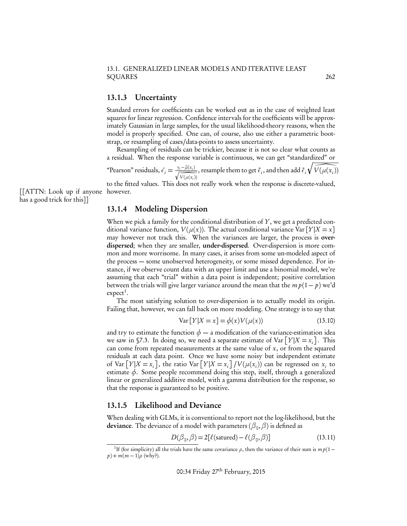#### 13.1. GENERALIZED LINEAR MODELS AND ITERATIVE LEAST SQUARES 262

#### 13.1.3 Uncertainty

Standard errors for coefficients can be worked out as in the case of weighted least squares for linear regression. Confidence intervals for the coefficients will be approximately Gaussian in large samples, for the usual likelihood-theory reasons, when the model is properly specified. One can, of course, also use either a parametric bootstrap, or resampling of cases/data-points to assess uncertainty.

Resampling of residuals can be trickier, because it is not so clear what counts as a residual. When the response variable is continuous, we can get "standardized" or

"Pearson" residuals,  $\hat{\epsilon}_i = \frac{y_i - \hat{\mu}(x_i)}{\sqrt{\hat{V}(\mu(x_i))}}$ , resample them to get  $\tilde{\epsilon}_i$ , and then add  $\tilde{\epsilon}_i$  $\sqrt{ }$  $V(\mu(x_i))$ 

to the fitted values. This does not really work when the response is discrete-valued,

[[ATTN: Look up if anyone however. has a good trick for this]]

#### 13.1.4 Modeling Dispersion

When we pick a family for the conditional distribution of *Y*, we get a predicted conditional variance function,  $V(\mu(x))$ . The actual conditional variance Var  $[Y|X=x]$ may however not track this. When the variances are larger, the process is overdispersed; when they are smaller, under-dispersed. Over-dispersion is more common and more worrisome. In many cases, it arises from some un-modeled aspect of the process — some unobserved heterogeneity, or some missed dependence. For instance, if we observe count data with an upper limit and use a binomial model, we're assuming that each "trial" within a data point is independent; positive correlation between the trials will give larger variance around the mean that the  $m p(1-p)$  we'd  $expect<sup>1</sup>$ .

The most satisfying solution to over-dispersion is to actually model its origin. Failing that, however, we can fall back on more modeling. One strategy is to say that

$$
Var[Y|X=x] = \phi(x)V(\mu(x))
$$
\n(13.10)

and try to estimate the function  $\phi$  — a modification of the variance-estimation idea we saw in §7.3. In doing so, we need a separate estimate of Var  $[Y|X = x_i]$ . This can come from repeated measurements at the same value of *x*, or from the squared residuals at each data point. Once we have some noisy but independent estimate of Var  $[Y|X = x_i]$ , the ratio Var  $[Y|X = x_i] / V(\mu(x_i))$  can be regressed on  $x_i$  to estimate  $\phi$ . Some people recommend doing this step, itself, through a generalized linear or generalized additive model, with a gamma distribution for the response, so that the response is guaranteed to be positive.

#### 13.1.5 Likelihood and Deviance

When dealing with GLMs, it is conventional to report not the log-likelihood, but the **deviance**. The deviance of a model with parameters ( $\beta_0$ ,  $\beta$ ) is defined as

$$
D(\beta_0, \beta) = 2[\ell(\text{saturated}) - \ell(\beta_0, \beta)] \tag{13.11}
$$

<sup>&</sup>lt;sup>1</sup>If (for simplicity) all the trials have the same covariance  $\rho$ , then the variance of their sum is  $m p(1$  $p) + m(m-1)$  $\rho$  (why?).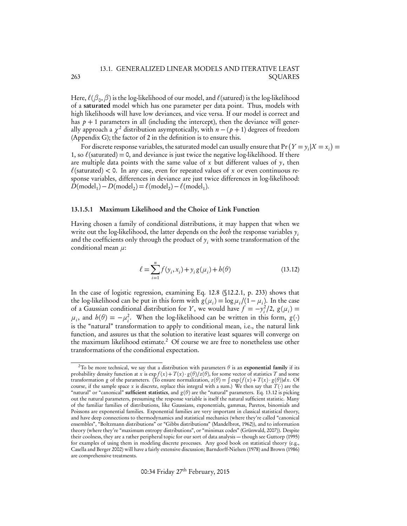#### 13.1. GENERALIZED LINEAR MODELS AND ITERATIVE LEAST SQUARES

Here,  $\ell(\beta_0,\beta)$  is the log-likelihood of our model, and  $\ell$  (satured) is the log-likelihood of a saturated model which has one parameter per data point. Thus, models with high likelihoods will have low deviances, and vice versa. If our model is correct and has  $p + 1$  parameters in all (including the intercept), then the deviance will generally approach a  $\chi^2$  distribution asymptotically, with  $n - (p + 1)$  degrees of freedom (Appendix G); the factor of 2 in the definition is to ensure this.

For discrete response variables, the saturated model can usually ensure that  $Pr(Y = y_i | X = x_i)$ 1, so  $\ell$ (saturated) = 0, and deviance is just twice the negative log-likelihood. If there are multiple data points with the same value of *x* but different values of *y*, then  $\ell$ (saturated) < 0. In any case, even for repeated values of *x* or even continuous response variables, differences in deviance are just twice differences in log-likelihood:  $D(\text{model}_1) - D(\text{model}_2) = \ell(\text{model}_2) - \ell(\text{model}_1).$ 

#### 13.1.5.1 Maximum Likelihood and the Choice of Link Function

Having chosen a family of conditional distributions, it may happen that when we write out the log-likelihood, the latter depends on the *both* the response variables *yi* and the coefficients only through the product of  $y_i$  with some transformation of the conditional mean *µ*:

$$
\ell = \sum_{i=1}^{n} f(y_i, x_i) + y_i g(\mu_i) + b(\theta)
$$
\n(13.12)

In the case of logistic regression, examining Eq. 12.8 (§12.2.1, p. 233) shows that the log-likelihood can be put in this form with  $g(\mu_i) = \log \mu_i / (1 - \mu_i)$ . In the case of a Gaussian conditional distribution for *Y*, we would have  $f = -y_i^2/2$ ,  $g(\mu_i) =$  $\mu_i$ , and  $h(\theta) = -\mu_i^2$ . When the log-likelihood can be written in this form, *g*(*·*) is the "natural" transformation to apply to conditional mean, i.e., the natural link function, and assures us that the solution to iterative least squares will converge on the maximum likelihood estimate.<sup>2</sup> Of course we are free to nonetheless use other transformations of the conditional expectation.

00:34 Friday 27<sup>th</sup> February, 2015

<sup>&</sup>lt;sup>2</sup>To be more technical, we say that a distribution with parameters  $\theta$  is an exponential family if its probability density function at *x* is  $\exp f(x) + T(x) \cdot g(\theta)/z(\theta)$ , for some vector of statistics *T* and some transformation *g* of the parameters. (To ensure normalization,  $z(\theta) = \int \exp(f(x) + T(x) \cdot g(\theta)) dx$ . Of course, if the sample space *x* is discrete, replace this integral with a sum.) We then say that  $T(\cdot)$  are the "natural" or "canonical" sufficient statistics, and *g* (*✓*) are the "natural" parameters. Eq. 13.12 is picking out the natural parameters, presuming the response variable is itself the natural sufficient statistic. Many of the familiar families of distributions, like Gaussians, exponentials, gammas, Paretos, binomials and Poissons are exponential families. Exponential families are very important in classical statistical theory, and have deep connections to thermodynamics and statistical mechanics (where they're called "canonical ensembles", "Boltzmann distributions" or "Gibbs distributions" (Mandelbrot, 1962)), and to information theory (where they're "maximum entropy distributions", or "minimax codes" (Grünwald, 2007)). Despite their coolness, they are a rather peripheral topic for our sort of data analysis — though see Guttorp (1995) for examples of using them in modeling discrete processes. Any good book on statistical theory (e.g., Casella and Berger 2002) will have a fairly extensive discussion; Barndorff-Nielsen (1978) and Brown (1986) are comprehensive treatments.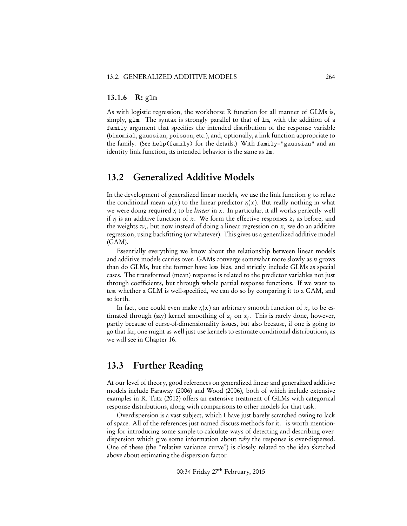#### 13.1.6 R: glm

As with logistic regression, the workhorse R function for all manner of GLMs is, simply, glm. The syntax is strongly parallel to that of lm, with the addition of a family argument that specifies the intended distribution of the response variable (binomial, gaussian, poisson, etc.), and, optionally, a link function appropriate to the family. (See help(family) for the details.) With family="gaussian" and an identity link function, its intended behavior is the same as lm.

### 13.2 Generalized Additive Models

In the development of generalized linear models, we use the link function *g* to relate the conditional mean  $\mu(x)$  to the linear predictor  $\eta(x)$ . But really nothing in what we were doing required  $\eta$  to be *linear* in  $x$ . In particular, it all works perfectly well if  $\eta$  is an additive function of x. We form the effective responses  $z_i$  as before, and the weights  $w_i$ , but now instead of doing a linear regression on  $x_i$  we do an additive regression, using backfitting (or whatever). This gives us a generalized additive model (GAM).

Essentially everything we know about the relationship between linear models and additive models carries over. GAMs converge somewhat more slowly as *n* grows than do GLMs, but the former have less bias, and strictly include GLMs as special cases. The transformed (mean) response is related to the predictor variables not just through coefficients, but through whole partial response functions. If we want to test whether a GLM is well-specified, we can do so by comparing it to a GAM, and so forth.

In fact, one could even make  $\eta(x)$  an arbitrary smooth function of x, to be estimated through (say) kernel smoothing of  $z_i$  on  $x_i$ . This is rarely done, however, partly because of curse-of-dimensionality issues, but also because, if one is going to go that far, one might as well just use kernels to estimate conditional distributions, as we will see in Chapter 16.

## 13.3 Further Reading

At our level of theory, good references on generalized linear and generalized additive models include Faraway (2006) and Wood (2006), both of which include extensive examples in R. Tutz (2012) offers an extensive treatment of GLMs with categorical response distributions, along with comparisons to other models for that task.

Overdispersion is a vast subject, which I have just barely scratched owing to lack of space. All of the references just named discuss methods for it. is worth mentioning for introducing some simple-to-calculate ways of detecting and describing overdispersion which give some information about *why* the response is over-dispersed. One of these (the "relative variance curve") is closely related to the idea sketched above about estimating the dispersion factor.